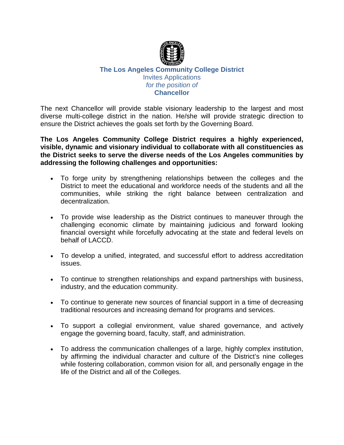

#### **The Los Angeles Community College District** Invites Applications *for the position of* **Chancellor**

The next Chancellor will provide stable visionary leadership to the largest and most diverse multi-college district in the nation. He/she will provide strategic direction to ensure the District achieves the goals set forth by the Governing Board.

**The Los Angeles Community College District requires a highly experienced, visible, dynamic and visionary individual to collaborate with all constituencies as the District seeks to serve the diverse needs of the Los Angeles communities by addressing the following challenges and opportunities:**

- To forge unity by strengthening relationships between the colleges and the District to meet the educational and workforce needs of the students and all the communities, while striking the right balance between centralization and decentralization.
- To provide wise leadership as the District continues to maneuver through the challenging economic climate by maintaining judicious and forward looking financial oversight while forcefully advocating at the state and federal levels on behalf of LACCD.
- To develop a unified, integrated, and successful effort to address accreditation issues.
- To continue to strengthen relationships and expand partnerships with business, industry, and the education community.
- To continue to generate new sources of financial support in a time of decreasing traditional resources and increasing demand for programs and services.
- To support a collegial environment, value shared governance, and actively engage the governing board, faculty, staff, and administration.
- To address the communication challenges of a large, highly complex institution, by affirming the individual character and culture of the District's nine colleges while fostering collaboration, common vision for all, and personally engage in the life of the District and all of the Colleges.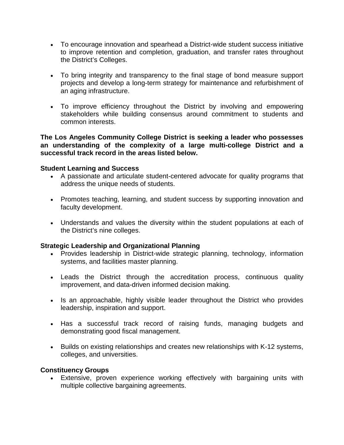- To encourage innovation and spearhead a District-wide student success initiative to improve retention and completion, graduation, and transfer rates throughout the District's Colleges.
- To bring integrity and transparency to the final stage of bond measure support projects and develop a long-term strategy for maintenance and refurbishment of an aging infrastructure.
- To improve efficiency throughout the District by involving and empowering stakeholders while building consensus around commitment to students and common interests.

**The Los Angeles Community College District is seeking a leader who possesses an understanding of the complexity of a large multi-college District and a successful track record in the areas listed below.**

#### **Student Learning and Success**

- A passionate and articulate student-centered advocate for quality programs that address the unique needs of students.
- Promotes teaching, learning, and student success by supporting innovation and faculty development.
- Understands and values the diversity within the student populations at each of the District's nine colleges.

#### **Strategic Leadership and Organizational Planning**

- Provides leadership in District-wide strategic planning, technology, information systems, and facilities master planning.
- Leads the District through the accreditation process, continuous quality improvement, and data-driven informed decision making.
- Is an approachable, highly visible leader throughout the District who provides leadership, inspiration and support.
- Has a successful track record of raising funds, managing budgets and demonstrating good fiscal management.
- Builds on existing relationships and creates new relationships with K-12 systems, colleges, and universities.

#### **Constituency Groups**

• Extensive, proven experience working effectively with bargaining units with multiple collective bargaining agreements.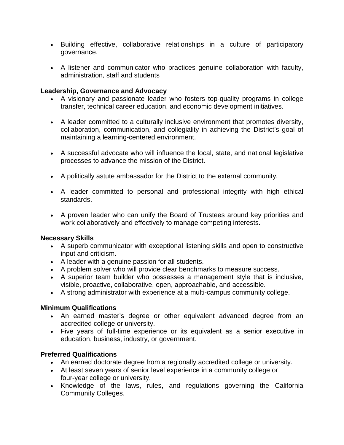- Building effective, collaborative relationships in a culture of participatory governance.
- A listener and communicator who practices genuine collaboration with faculty, administration, staff and students

### **Leadership, Governance and Advocacy**

- A visionary and passionate leader who fosters top-quality programs in college transfer, technical career education, and economic development initiatives.
- A leader committed to a culturally inclusive environment that promotes diversity, collaboration, communication, and collegiality in achieving the District's goal of maintaining a learning-centered environment.
- A successful advocate who will influence the local, state, and national legislative processes to advance the mission of the District.
- A politically astute ambassador for the District to the external community.
- A leader committed to personal and professional integrity with high ethical standards.
- A proven leader who can unify the Board of Trustees around key priorities and work collaboratively and effectively to manage competing interests.

# **Necessary Skills**

- A superb communicator with exceptional listening skills and open to constructive input and criticism.
- A leader with a genuine passion for all students.
- A problem solver who will provide clear benchmarks to measure success.
- A superior team builder who possesses a management style that is inclusive, visible, proactive, collaborative, open, approachable, and accessible.
- A strong administrator with experience at a multi-campus community college.

# **Minimum Qualifications**

- An earned master's degree or other equivalent advanced degree from an accredited college or university.
- Five years of full-time experience or its equivalent as a senior executive in education, business, industry, or government.

# **Preferred Qualifications**

- An earned doctorate degree from a regionally accredited college or university.
- At least seven years of senior level experience in a community college or four-year college or university.
- Knowledge of the laws, rules, and regulations governing the California Community Colleges.